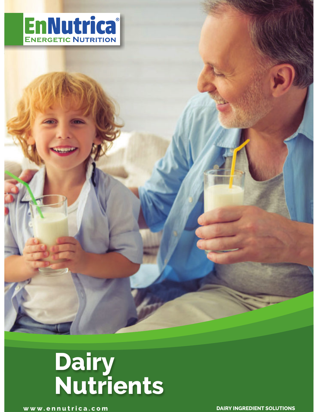



**www.ennutrica.com DAIRY INGREDIENT SOLUTIONS**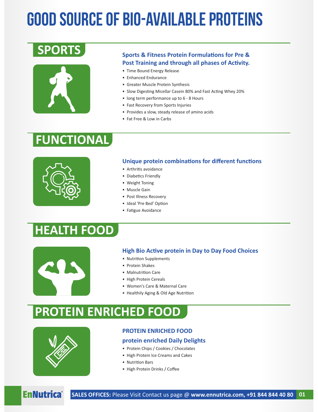# Good source of Bio-Available Proteins

## **SPORTS**



#### **Sports & Fitness Protein Formulations for Pre &** Post Training and through all phases of Activity.

- Time Bound Energy Release
- Enhanced Endurance
- Greater Muscle Protein Synthesis
- Slow Digesting Micellar Casein 80% and Fast Acting Whey 20%
- long term performance up to 6 8 Hours
- Fast Recovery from Sports Injuries
- Provides a slow, steady release of amino acids
- Fat Free & Low in Carbs

### **FUNCTIONAL**



#### **Unique protein combinations for different functions**

- Arthritis avoidance
- Diabetics Friendly
- Weight Toning
- Muscle Gain
- Post Illness Recovery
- Ideal 'Pre Bed' Option
- Fatigue Avoidance

### **HEALTH FOOD**



#### **High Bio Active protein in Day to Day Food Choices**

- Nutrition Supplements
- Protein Shakes
- Malnutrition Care
- High Protein Cereals
- Women's Care & Maternal Care
- Healthily Aging & Old Age Nutrition

### **PROTEIN ENRICHED FOOD**



#### **PROTEIN ENRICHED FOOD**

#### **protein enriched Daily Delights**

- Protein Chips / Cookies / Chocolates
- High Protein Ice Creams and Cakes
- Nutrition Bars
- High Protein Drinks / Coffee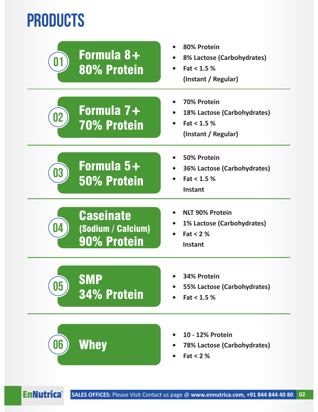# **PRODUCTS**

| Formula 8+<br>U I<br>80% Protein                      | 80% Protein<br>8% Lactose (Carbohydrates)<br>Fact < 1.5 %<br>(Instant / Regular)         |
|-------------------------------------------------------|------------------------------------------------------------------------------------------|
| Formula 7+<br>02<br><b>70% Protein</b>                | <b>70% Protein</b><br>18% Lactose (Carbohydrates)<br>Fact < 1.5 %<br>(Instant / Regular) |
| Formula 5+<br>03<br>50% Protein                       | 50% Protein<br><b>36% Lactose (Carbohydrates)</b><br>Fact < 1.5 %<br><b>Instant</b>      |
| <b>Caseinate</b><br>(Sodium / Calcium)<br>90% Protein | <b>NLT 90% Protein</b><br><b>1% Lactose (Carbohydrates)</b><br>Fat $< 2$ %<br>Instant    |
| <b>SMP</b><br>05<br>34% Protein                       | 34% Protein<br>55% Lactose (Carbohydrates)<br>Fact < 1.5 %                               |
| Whey<br>06                                            | 10 - 12% Protein<br><b>78% Lactose (Carbohydrates)</b><br>Fat $<$ 2 $%$                  |